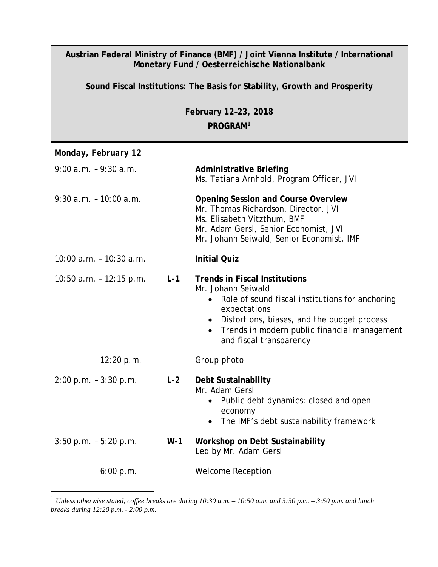## **Austrian Federal Ministry of Finance (BMF) / Joint Vienna Institute / International Monetary Fund / Oesterreichische Nationalbank**

**Sound Fiscal Institutions: The Basis for Stability, Growth and Prosperity**

**February 12–23, 2018 PROGRAM[1](#page-0-0)**

*Monday, February 12*

| $9:00$ a.m. $-9:30$ a.m.   |       | <b>Administrative Briefing</b><br>Ms. Tatiana Arnhold, Program Officer, JVI                                                                                                                                                                                                                    |
|----------------------------|-------|------------------------------------------------------------------------------------------------------------------------------------------------------------------------------------------------------------------------------------------------------------------------------------------------|
| $9:30$ a.m. - 10:00 a.m.   |       | <b>Opening Session and Course Overview</b><br>Mr. Thomas Richardson, Director, JVI<br>Ms. Elisabeth Vitzthum, BMF<br>Mr. Adam Gersl, Senior Economist, JVI<br>Mr. Johann Seiwald, Senior Economist, IMF                                                                                        |
| $10:00$ a.m. $-10:30$ a.m. |       | <b>Initial Quiz</b>                                                                                                                                                                                                                                                                            |
| $10:50$ a.m. $-12:15$ p.m. | $L-1$ | <b>Trends in Fiscal Institutions</b><br>Mr. Johann Seiwald<br>Role of sound fiscal institutions for anchoring<br>$\bullet$<br>expectations<br>Distortions, biases, and the budget process<br>$\bullet$<br>Trends in modern public financial management<br>$\bullet$<br>and fiscal transparency |
| 12:20 p.m.                 |       | Group photo                                                                                                                                                                                                                                                                                    |
| $2:00$ p.m. $-3:30$ p.m.   | $L-2$ | Debt Sustainability<br>Mr. Adam Gersl<br>Public debt dynamics: closed and open<br>$\bullet$<br>economy<br>The IMF's debt sustainability framework<br>$\bullet$                                                                                                                                 |
| $3:50$ p.m. $-5:20$ p.m.   | $W-1$ | Workshop on Debt Sustainability<br>Led by Mr. Adam Gersl                                                                                                                                                                                                                                       |
| 6:00 p.m.                  |       | <b>Welcome Reception</b>                                                                                                                                                                                                                                                                       |

<span id="page-0-0"></span> <sup>1</sup> *Unless otherwise stated, coffee breaks are during 10:30 a.m. – 10:50 a.m. and 3:30 p.m. – 3:50 p.m. and lunch breaks during 12:20 p.m. - 2:00 p.m.*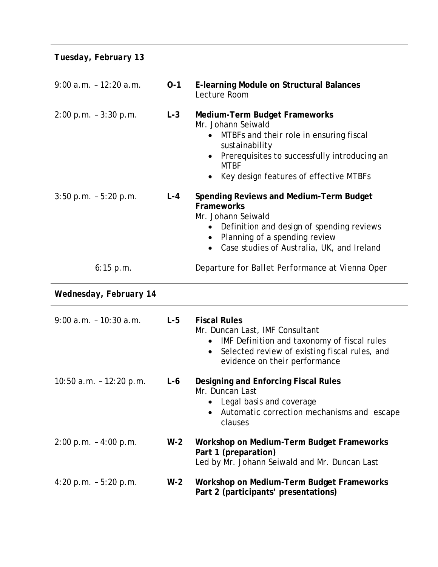*Tuesday, February 13*

| $9:00$ a.m. $-12:20$ a.m.  | $0 - 1$ | <b>E-learning Module on Structural Balances</b><br>Lecture Room                                                                                                                                                                                                         |
|----------------------------|---------|-------------------------------------------------------------------------------------------------------------------------------------------------------------------------------------------------------------------------------------------------------------------------|
| $2:00$ p.m. $-3:30$ p.m.   | $L-3$   | <b>Medium-Term Budget Frameworks</b><br>Mr. Johann Seiwald<br>MTBFs and their role in ensuring fiscal<br>$\bullet$<br>sustainability<br>Prerequisites to successfully introducing an<br>$\bullet$<br><b>MTBF</b><br>Key design features of effective MTBFs<br>$\bullet$ |
| $3:50$ p.m. $-5:20$ p.m.   | $L - 4$ | <b>Spending Reviews and Medium-Term Budget</b><br><b>Frameworks</b><br>Mr. Johann Seiwald<br>Definition and design of spending reviews<br>$\bullet$<br>Planning of a spending review<br>Case studies of Australia, UK, and Ireland<br>$\bullet$                         |
| 6:15 p.m.                  |         | Departure for Ballet Performance at Vienna Oper                                                                                                                                                                                                                         |
|                            |         |                                                                                                                                                                                                                                                                         |
| Wednesday, February 14     |         |                                                                                                                                                                                                                                                                         |
| $9:00$ a.m. $-10:30$ a.m.  | $L-5$   | <b>Fiscal Rules</b><br>Mr. Duncan Last, IMF Consultant<br>IMF Definition and taxonomy of fiscal rules<br>$\bullet$<br>Selected review of existing fiscal rules, and<br>$\bullet$<br>evidence on their performance                                                       |
| $10:50$ a.m. $-12:20$ p.m. | $L-6$   | <b>Designing and Enforcing Fiscal Rules</b><br>Mr. Duncan Last<br>Legal basis and coverage<br>Automatic correction mechanisms and escape<br>$\bullet$<br>clauses                                                                                                        |
| $2:00$ p.m. $-4:00$ p.m.   | $W-2$   | Workshop on Medium-Term Budget Frameworks<br>Part 1 (preparation)<br>Led by Mr. Johann Seiwald and Mr. Duncan Last                                                                                                                                                      |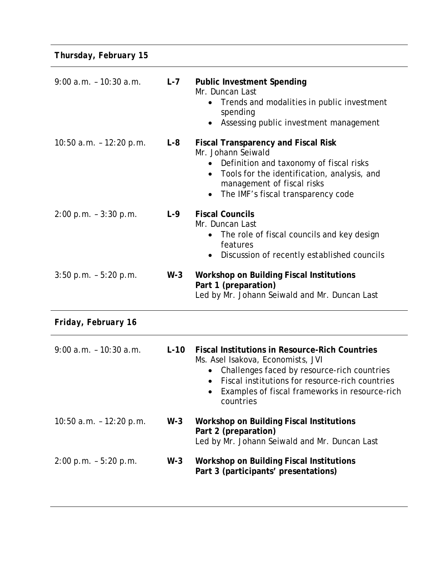*Thursday, February 15*

| $9:00$ a.m. $-10:30$ a.m.  | $L - 7$ | <b>Public Investment Spending</b><br>Mr. Duncan Last<br>Trends and modalities in public investment<br>$\bullet$<br>spending<br>Assessing public investment management<br>$\bullet$                                                                                                    |
|----------------------------|---------|---------------------------------------------------------------------------------------------------------------------------------------------------------------------------------------------------------------------------------------------------------------------------------------|
| 10:50 a.m. - 12:20 p.m.    | $L - 8$ | <b>Fiscal Transparency and Fiscal Risk</b><br>Mr. Johann Seiwald<br>Definition and taxonomy of fiscal risks<br>$\bullet$<br>Tools for the identification, analysis, and<br>$\bullet$<br>management of fiscal risks<br>The IMF's fiscal transparency code<br>$\bullet$                 |
| 2:00 p.m. - 3:30 p.m.      | L-9     | <b>Fiscal Councils</b><br>Mr. Duncan Last<br>The role of fiscal councils and key design<br>$\bullet$<br>features<br>Discussion of recently established councils<br>$\bullet$                                                                                                          |
| $3:50$ p.m. - $5:20$ p.m.  | $W-3$   | <b>Workshop on Building Fiscal Institutions</b><br>Part 1 (preparation)<br>Led by Mr. Johann Seiwald and Mr. Duncan Last                                                                                                                                                              |
| Friday, February 16        |         |                                                                                                                                                                                                                                                                                       |
| $9:00$ a.m. $-10:30$ a.m.  | $L-10$  | <b>Fiscal Institutions in Resource-Rich Countries</b><br>Ms. Asel Isakova, Economists, JVI<br>Challenges faced by resource-rich countries<br>$\bullet$<br>Fiscal institutions for resource-rich countries<br>$\bullet$<br>Examples of fiscal frameworks in resource-rich<br>countries |
| $10:50$ a.m. $-12:20$ p.m. | $W-3$   | <b>Workshop on Building Fiscal Institutions</b><br>Part 2 (preparation)<br>Led by Mr. Johann Seiwald and Mr. Duncan Last                                                                                                                                                              |
| $2:00$ p.m. $-5:20$ p.m.   | $W-3$   | Workshop on Building Fiscal Institutions<br>Part 3 (participants' presentations)                                                                                                                                                                                                      |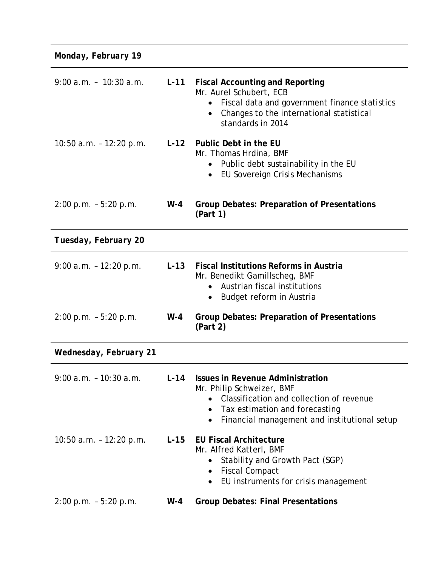*Monday, February 19*

| $9:00$ a.m. - $10:30$ a.m. | $L-11$ | <b>Fiscal Accounting and Reporting</b><br>Mr. Aurel Schubert, ECB<br>Fiscal data and government finance statistics<br>$\bullet$<br>Changes to the international statistical<br>$\bullet$<br>standards in 2014   |
|----------------------------|--------|-----------------------------------------------------------------------------------------------------------------------------------------------------------------------------------------------------------------|
| 10:50 $a.m. - 12:20 p.m.$  |        | L-12 Public Debt in the EU<br>Mr. Thomas Hrdina, BMF<br>Public debt sustainability in the EU<br>EU Sovereign Crisis Mechanisms<br>$\bullet$                                                                     |
| $2:00$ p.m. $-5:20$ p.m.   | $W-4$  | <b>Group Debates: Preparation of Presentations</b><br>(Part 1)                                                                                                                                                  |
| Tuesday, February 20       |        |                                                                                                                                                                                                                 |
| $9:00$ a.m. $-12:20$ p.m.  | $L-13$ | <b>Fiscal Institutions Reforms in Austria</b><br>Mr. Benedikt Gamillscheg, BMF<br>Austrian fiscal institutions<br>Budget reform in Austria<br>$\bullet$                                                         |
| $2:00$ p.m. $-5:20$ p.m.   | $W-4$  | <b>Group Debates: Preparation of Presentations</b><br>(Part 2)                                                                                                                                                  |
| Wednesday, February 21     |        |                                                                                                                                                                                                                 |
| $9:00$ a.m. $-10:30$ a.m.  | $L-14$ | <b>Issues in Revenue Administration</b><br>Mr. Philip Schweizer, BMF<br>Classification and collection of revenue<br>Tax estimation and forecasting<br>Financial management and institutional setup<br>$\bullet$ |
| 10:50 $a.m. - 12:20 p.m.$  | $L-15$ | <b>EU Fiscal Architecture</b><br>Mr. Alfred Katterl, BMF<br>Stability and Growth Pact (SGP)<br>$\bullet$<br><b>Fiscal Compact</b><br>$\bullet$<br>EU instruments for crisis management<br>$\bullet$             |
| $2:00$ p.m. $-5:20$ p.m.   | $W-4$  | <b>Group Debates: Final Presentations</b>                                                                                                                                                                       |